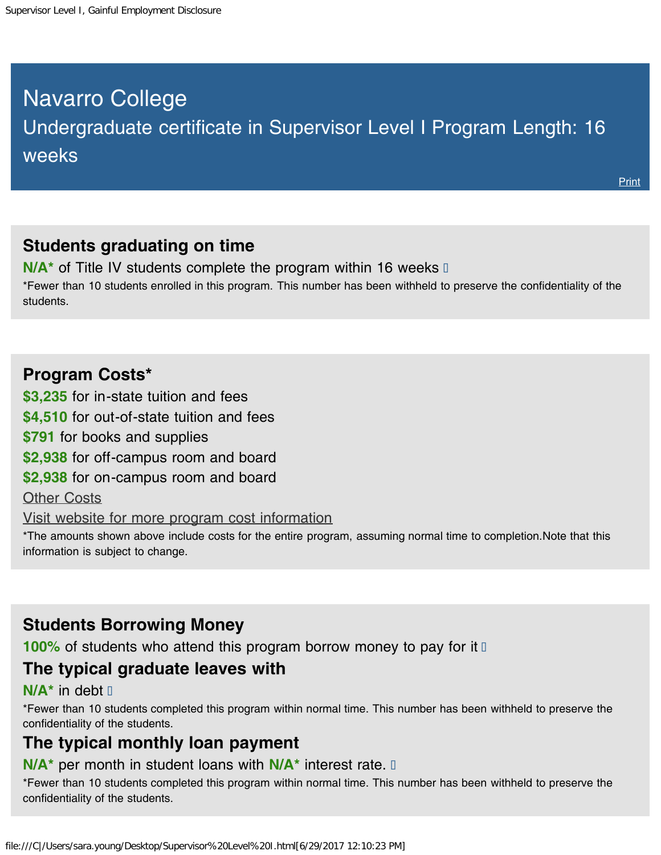# <span id="page-0-0"></span>Navarro College Undergraduate certificate in Supervisor Level I Program Length: 16 weeks

# **Students graduating on time**

**N/A<sup>\*</sup>** of Title IV students complete the program within 16 weeks  $\mathbb{I}$ \*Fewer than 10 students enrolled in this program. This number has been withheld to preserve the confidentiality of the students.

#### **Program Costs\***

**\$3,235** for in-state tuition and fees

**\$4,510** for out-of-state tuition and fees

**\$791** for books and supplies

**\$2,938** for off-campus room and board

**\$2,938** for on-campus room and board

[Other Costs](#page-0-0)

[Visit website for more program cost information](http://navarrocollege.smartcatalogiq.com/en/2017-2018/Catalog/Degree-and-Certificate-Programs/Business/Supervisor-s-Certificate-Level-I)

\*The amounts shown above include costs for the entire program, assuming normal time to completion.Note that this information is subject to change.

#### **Students Borrowing Money**

**100%** of students who attend this program borrow money to pay for it  $\mathbb{I}$ 

#### **The typical graduate leaves with**

**N/A\*** in debt

\*Fewer than 10 students completed this program within normal time. This number has been withheld to preserve the confidentiality of the students.

# **The typical monthly loan payment**

#### **N/A\*** per month in student loans with **N/A\*** interest rate.

\*Fewer than 10 students completed this program within normal time. This number has been withheld to preserve the confidentiality of the students.